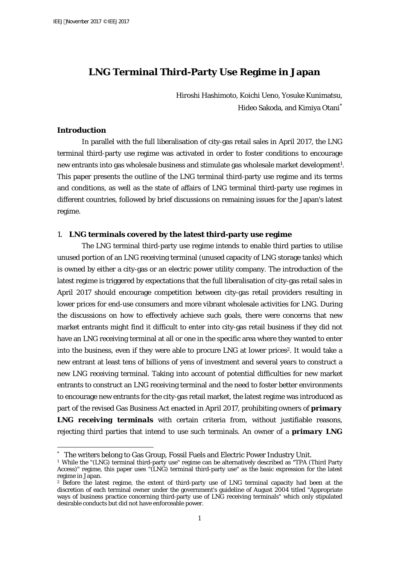# **LNG Terminal Third-Party Use Regime in Japan**

Hiroshi Hashimoto, Koichi Ueno, Yosuke Kunimatsu, Hideo Sakoda, and Kimiya Otani

# **Introduction**

 $\overline{a}$ 

In parallel with the full liberalisation of city-gas retail sales in April 2017, the LNG terminal third-party use regime was activated in order to foster conditions to encourage new entrants into gas wholesale business and stimulate gas wholesale market development<sup>1</sup>. This paper presents the outline of the LNG terminal third-party use regime and its terms and conditions, as well as the state of affairs of LNG terminal third-party use regimes in different countries, followed by brief discussions on remaining issues for the Japan's latest regime.

# 1. **LNG terminals covered by the latest third-party use regime**

The LNG terminal third-party use regime intends to enable third parties to utilise unused portion of an LNG receiving terminal (unused capacity of LNG storage tanks) which is owned by either a city-gas or an electric power utility company. The introduction of the latest regime is triggered by expectations that the full liberalisation of city-gas retail sales in April 2017 should encourage competition between city-gas retail providers resulting in lower prices for end-use consumers and more vibrant wholesale activities for LNG. During the discussions on how to effectively achieve such goals, there were concerns that new market entrants might find it difficult to enter into city-gas retail business if they did not have an LNG receiving terminal at all or one in the specific area where they wanted to enter into the business, even if they were able to procure LNG at lower prices<sup>2</sup>. It would take a new entrant at least tens of billions of yens of investment and several years to construct a new LNG receiving terminal. Taking into account of potential difficulties for new market entrants to construct an LNG receiving terminal and the need to foster better environments to encourage new entrants for the city-gas retail market, the latest regime was introduced as part of the revised Gas Business Act enacted in April 2017, prohibiting owners of *primary LNG receiving terminals* with certain criteria from, without justifiable reasons, rejecting third parties that intend to use such terminals. An owner of a *primary LNG* 

The writers belong to Gas Group, Fossil Fuels and Electric Power Industry Unit.  $^\ast$  The writers belong to Gas Group, Fossil Fuels and Electric Power Industry Unit.<br>1 While the "(LNG) terminal third-party use" regime can be alternatively described as "TPA (Third Party

Access)" regime, this paper uses "(LNG) terminal third-party use" as the basic expression for the latest regime in Japan.

<sup>&</sup>lt;sup>2</sup> Before the latest regime, the extent of third-party use of LNG terminal capacity had been at the discretion of each terminal owner under the government's guideline of August 2004 titled "Appropriate ways of business practice concerning third-party use of LNG receiving terminals" which only stipulated desirable conducts but did not have enforceable power.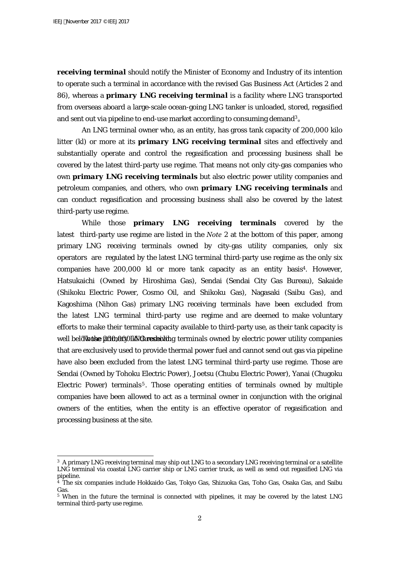*receiving terminal* should notify the Minister of Economy and Industry of its intention to operate such a terminal in accordance with the revised Gas Business Act (Articles 2 and 86), whereas a *primary LNG receiving terminal* is a facility where LNG transported from overseas aboard a large-scale ocean-going LNG tanker is unloaded, stored, regasified and sent out via pipeline to end-use market according to consuming demand<sup>3</sup>.

An LNG terminal owner who, as an entity, has gross tank capacity of 200,000 kilo litter (kl) or more at its *primary LNG receiving terminal* sites and effectively and substantially operate and control the regasification and processing business shall be covered by the latest third-party use regime. That means not only city-gas companies who own *primary LNG receiving terminals* but also electric power utility companies and petroleum companies, and others, who own *primary LNG receiving terminals* and can conduct regasification and processing business shall also be covered by the latest third-party use regime.

While those *primary LNG receiving terminals* covered by the latest third-party use regime are listed in the *Note 2* at the bottom of this paper, among primary LNG receiving terminals owned by city-gas utility companies, only six operators are regulated by the latest LNG terminal third-party use regime as the only six companies have 200,000 kl or more tank capacity as an entity basis<sup>4</sup>. However, Hatsukaichi (Owned by Hiroshima Gas), Sendai (Sendai City Gas Bureau), Sakaide (Shikoku Electric Power, Cosmo Oil, and Shikoku Gas), Nagasaki (Saibu Gas), and Kagoshima (Nihon Gas) primary LNG receiving terminals have been excluded from the latest LNG terminal third-party use regime and are deemed to make voluntary efforts to make their terminal capacity available to third-party use, as their tank capacity is well below the 200,000 kN thresholding terminals owned by electric power utility companies that are exclusively used to provide thermal power fuel and cannot send out gas via pipeline have also been excluded from the latest LNG terminal third-party use regime. Those are Sendai (Owned by Tohoku Electric Power), Joetsu (Chubu Electric Power), Yanai (Chugoku Electric Power) terminals<sup>5</sup>. Those operating entities of terminals owned by multiple companies have been allowed to act as a terminal owner in conjunction with the original owners of the entities, when the entity is an effective operator of regasification and processing business at the site.

<sup>3</sup> A primary LNG receiving terminal may ship out LNG to a secondary LNG receiving terminal or a satellite LNG terminal via coastal LNG carrier ship or LNG carrier truck, as well as send out regasified LNG via pipeline.

<sup>4</sup> The six companies include Hokkaido Gas, Tokyo Gas, Shizuoka Gas, Toho Gas, Osaka Gas, and Saibu Gas.

<sup>&</sup>lt;sup>5</sup> When in the future the terminal is connected with pipelines, it may be covered by the latest LNG terminal third-party use regime.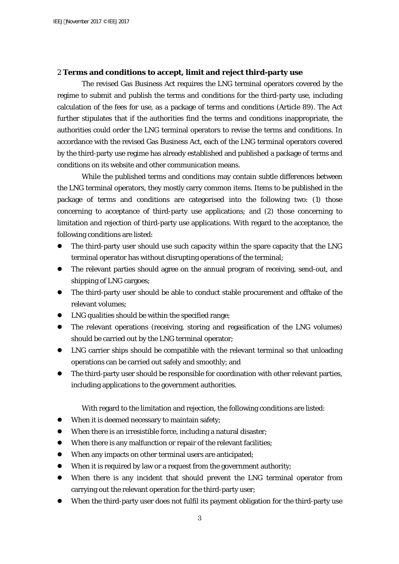# 2 **Terms and conditions to accept, limit and reject third-party use**

The revised Gas Business Act requires the LNG terminal operators covered by the regime to submit and publish the terms and conditions for the third-party use, including calculation of the fees for use, as a package of terms and conditions (Article 89). The Act further stipulates that if the authorities find the terms and conditions inappropriate, the authorities could order the LNG terminal operators to revise the terms and conditions. In accordance with the revised Gas Business Act, each of the LNG terminal operators covered by the third-party use regime has already established and published a package of terms and conditions on its website and other communication means.

While the published terms and conditions may contain subtle differences between the LNG terminal operators, they mostly carry common items. Items to be published in the package of terms and conditions are categorised into the following two: (1) those concerning to acceptance of third-party use applications; and (2) those concerning to limitation and rejection of third-party use applications. With regard to the acceptance, the following conditions are listed:

- The third-party user should use such capacity within the spare capacity that the LNG terminal operator has without disrupting operations of the terminal;
- The relevant parties should agree on the annual program of receiving, send-out, and shipping of LNG cargoes;
- The third-party user should be able to conduct stable procurement and offtake of the relevant volumes;
- LNG qualities should be within the specified range;
- The relevant operations (receiving, storing and regasification of the LNG volumes) should be carried out by the LNG terminal operator;
- LNG carrier ships should be compatible with the relevant terminal so that unloading operations can be carried out safely and smoothly; and
- The third-party user should be responsible for coordination with other relevant parties, including applications to the government authorities.

With regard to the limitation and rejection, the following conditions are listed:

- When it is deemed necessary to maintain safety;
- When there is an irresistible force, including a natural disaster;
- When there is any malfunction or repair of the relevant facilities;
- When any impacts on other terminal users are anticipated;
- When it is required by law or a request from the government authority;
- When there is any incident that should prevent the LNG terminal operator from carrying out the relevant operation for the third-party user;
- When the third-party user does not fulfil its payment obligation for the third-party use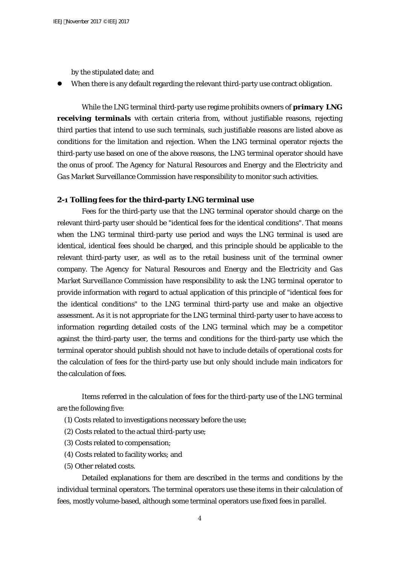by the stipulated date; and

When there is any default regarding the relevant third-party use contract obligation.

While the LNG terminal third-party use regime prohibits owners of *primary LNG*  **receiving terminals** with certain criteria from, without justifiable reasons, rejecting third parties that intend to use such terminals, such justifiable reasons are listed above as conditions for the limitation and rejection. When the LNG terminal operator rejects the third-party use based on one of the above reasons, the LNG terminal operator should have the onus of proof. *The Agency for Natural Resources and Energy* and *the Electricity and Gas Market Surveillance Commission* have responsibility to monitor such activities.

# **2-1 Tolling fees for the third-party LNG terminal use**

Fees for the third-party use that the LNG terminal operator should charge on the relevant third-party user should be "identical fees for the identical conditions". That means when the LNG terminal third-party use period and ways the LNG terminal is used are identical, identical fees should be charged, and this principle should be applicable to the relevant third-party user, as well as to the retail business unit of the terminal owner company. *The Agency for Natural Resources and Energy* and *the Electricity and Gas Market Surveillance Commission* have responsibility to ask the LNG terminal operator to provide information with regard to actual application of this principle of "identical fees for the identical conditions" to the LNG terminal third-party use and make an objective assessment. As it is not appropriate for the LNG terminal third-party user to have access to information regarding detailed costs of the LNG terminal which may be a competitor against the third-party user, the terms and conditions for the third-party use which the terminal operator should publish should not have to include details of operational costs for the calculation of fees for the third-party use but only should include main indicators for the calculation of fees.

Items referred in the calculation of fees for the third-party use of the LNG terminal are the following five:

- (1) Costs related to investigations necessary before the use;
- (2) Costs related to the actual third-party use;
- (3) Costs related to compensation;
- (4) Costs related to facility works; and
- (5) Other related costs.

Detailed explanations for them are described in the terms and conditions by the individual terminal operators. The terminal operators use these items in their calculation of fees, mostly volume-based, although some terminal operators use fixed fees in parallel.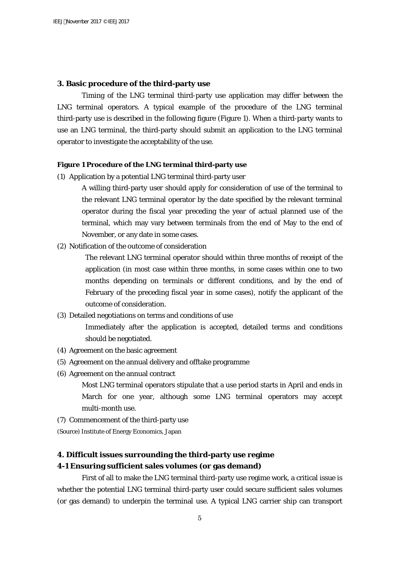# **3. Basic procedure of the third-party use**

Timing of the LNG terminal third-party use application may differ between the LNG terminal operators. A typical example of the procedure of the LNG terminal third-party use is described in the following figure (Figure 1). When a third-party wants to use an LNG terminal, the third-party should submit an application to the LNG terminal operator to investigate the acceptability of the use.

#### **Figure 1 Procedure of the LNG terminal third-party use**

(1) Application by a potential LNG terminal third-party user

A willing third-party user should apply for consideration of use of the terminal to the relevant LNG terminal operator by the date specified by the relevant terminal operator during the fiscal year preceding the year of actual planned use of the terminal, which may vary between terminals from the end of May to the end of November, or any date in some cases.

(2) Notification of the outcome of consideration

The relevant LNG terminal operator should within three months of receipt of the application (in most case within three months, in some cases within one to two months depending on terminals or different conditions, and by the end of February of the preceding fiscal year in some cases), notify the applicant of the outcome of consideration.

(3) Detailed negotiations on terms and conditions of use

Immediately after the application is accepted, detailed terms and conditions should be negotiated.

- (4) Agreement on the basic agreement
- (5) Agreement on the annual delivery and offtake programme
- (6) Agreement on the annual contract

Most LNG terminal operators stipulate that a use period starts in April and ends in March for one year, although some LNG terminal operators may accept multi-month use.

(7) Commencement of the third-party use

(Source) Institute of Energy Economics, Japan

### **4. Difficult issues surrounding the third-party use regime**

# **4-1 Ensuring sufficient sales volumes (or gas demand)**

First of all to make the LNG terminal third-party use regime work, a critical issue is whether the potential LNG terminal third-party user could secure sufficient sales volumes (or gas demand) to underpin the terminal use. A typical LNG carrier ship can transport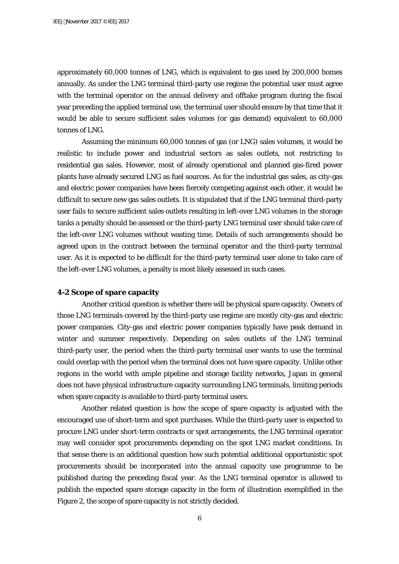approximately 60,000 tonnes of LNG, which is equivalent to gas used by 200,000 homes annually. As under the LNG terminal third-party use regime the potential user must agree with the terminal operator on the annual delivery and offtake program during the fiscal year preceding the applied terminal use, the terminal user should ensure by that time that it would be able to secure sufficient sales volumes (or gas demand) equivalent to 60,000 tonnes of LNG.

Assuming the minimum 60,000 tonnes of gas (or LNG) sales volumes, it would be realistic to include power and industrial sectors as sales outlets, not restricting to residential gas sales. However, most of already operational and planned gas-fired power plants have already secured LNG as fuel sources. As for the industrial gas sales, as city-gas and electric power companies have been fiercely competing against each other, it would be difficult to secure new gas sales outlets. It is stipulated that if the LNG terminal third-party user fails to secure sufficient sales outlets resulting in left-over LNG volumes in the storage tanks a penalty should be assessed or the third-party LNG terminal user should take care of the left-over LNG volumes without wasting time. Details of such arrangements should be agreed upon in the contract between the terminal operator and the third-party terminal user. As it is expected to be difficult for the third-party terminal user alone to take care of the left-over LNG volumes, a penalty is most likely assessed in such cases.

# **4-2 Scope of spare capacity**

Another critical question is whether there will be physical spare capacity. Owners of those LNG terminals covered by the third-party use regime are mostly city-gas and electric power companies. City-gas and electric power companies typically have peak demand in winter and summer respectively. Depending on sales outlets of the LNG terminal third-party user, the period when the third-party terminal user wants to use the terminal could overlap with the period when the terminal does not have spare capacity. Unlike other regions in the world with ample pipeline and storage facility networks, Japan in general does not have physical infrastructure capacity surrounding LNG terminals, limiting periods when spare capacity is available to third-party terminal users.

Another related question is how the scope of spare capacity is adjusted with the encouraged use of short-term and spot purchases. While the third-party user is expected to procure LNG under short-term contracts or spot arrangements, the LNG terminal operator may well consider spot procurements depending on the spot LNG market conditions. In that sense there is an additional question how such potential additional opportunistic spot procurements should be incorporated into the annual capacity use programme to be published during the preceding fiscal year. As the LNG terminal operator is allowed to publish the expected spare storage capacity in the form of illustration exemplified in the Figure 2, the scope of spare capacity is not strictly decided.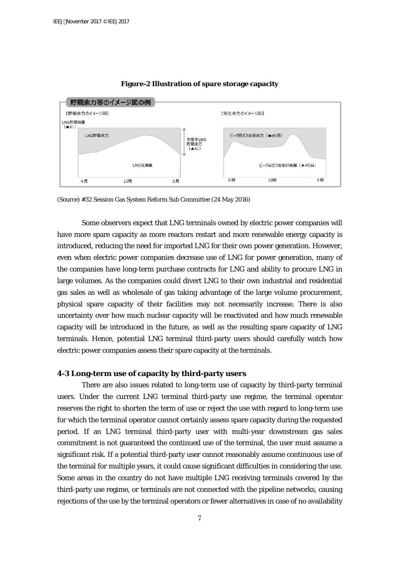

#### **Figure-2 Illustration of spare storage capacity**

(Source) #32 Session Gas System Reform Sub Committee (24 May 2016)

Some observers expect that LNG terminals owned by electric power companies will have more spare capacity as more reactors restart and more renewable energy capacity is introduced, reducing the need for imported LNG for their own power generation. However, even when electric power companies decrease use of LNG for power generation, many of the companies have long-term purchase contracts for LNG and ability to procure LNG in large volumes. As the companies could divert LNG to their own industrial and residential gas sales as well as wholesale of gas taking advantage of the large volume procurement, physical spare capacity of their facilities may not necessarily increase. There is also uncertainty over how much nuclear capacity will be reactivated and how much renewable capacity will be introduced in the future, as well as the resulting spare capacity of LNG terminals. Hence, potential LNG terminal third-party users should carefully watch how electric power companies assess their spare capacity at the terminals.

#### **4-3 Long-term use of capacity by third-party users**

There are also issues related to long-term use of capacity by third-party terminal users. Under the current LNG terminal third-party use regime, the terminal operator reserves the right to shorten the term of use or reject the use with regard to long-term use for which the terminal operator cannot certainly assess spare capacity during the requested period. If an LNG terminal third-party user with multi-year downstream gas sales commitment is not guaranteed the continued use of the terminal, the user must assume a significant risk. If a potential third-party user cannot reasonably assume continuous use of the terminal for multiple years, it could cause significant difficulties in considering the use. Some areas in the country do not have multiple LNG receiving terminals covered by the third-party use regime, or terminals are not connected with the pipeline networks, causing rejections of the use by the terminal operators or fewer alternatives in case of no availability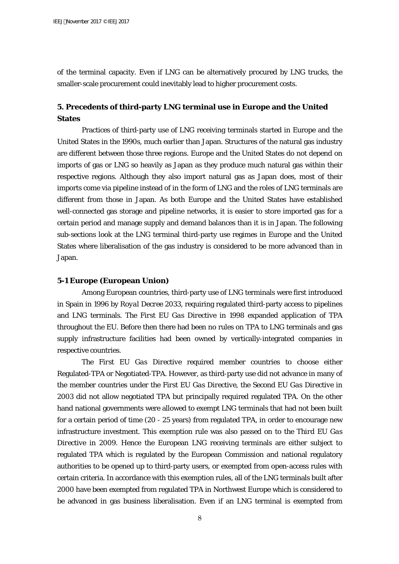of the terminal capacity. Even if LNG can be alternatively procured by LNG trucks, the smaller-scale procurement could inevitably lead to higher procurement costs.

# **5. Precedents of third-party LNG terminal use in Europe and the United States**

Practices of third-party use of LNG receiving terminals started in Europe and the United States in the 1990s, much earlier than Japan. Structures of the natural gas industry are different between those three regions. Europe and the United States do not depend on imports of gas or LNG so heavily as Japan as they produce much natural gas within their respective regions. Although they also import natural gas as Japan does, most of their imports come via pipeline instead of in the form of LNG and the roles of LNG terminals are different from those in Japan. As both Europe and the United States have established well-connected gas storage and pipeline networks, it is easier to store imported gas for a certain period and manage supply and demand balances than it is in Japan. The following sub-sections look at the LNG terminal third-party use regimes in Europe and the United States where liberalisation of the gas industry is considered to be more advanced than in Japan.

### **5-1 Europe (European Union)**

Among European countries, third-party use of LNG terminals were first introduced in Spain in 1996 by *Royal Decree 2033*, requiring regulated third-party access to pipelines and LNG terminals. *The First EU Gas Directive* in 1998 expanded application of TPA throughout the EU. Before then there had been no rules on TPA to LNG terminals and gas supply infrastructure facilities had been owned by vertically-integrated companies in respective countries.

*The First EU Gas Directive* required member countries to choose either Regulated-TPA or Negotiated-TPA. However, as third-party use did not advance in many of the member countries under *the First EU Gas Directive*, *the Second EU Gas Directive* in 2003 did not allow negotiated TPA but principally required regulated TPA. On the other hand national governments were allowed to exempt LNG terminals that had not been built for a certain period of time (20 - 25 years) from regulated TPA, in order to encourage new infrastructure investment. This exemption rule was also passed on to *the Third EU Gas Directive* in 2009. Hence the European LNG receiving terminals are either subject to regulated TPA which is regulated by the European Commission and national regulatory authorities to be opened up to third-party users, or exempted from open-access rules with certain criteria. In accordance with this exemption rules, all of the LNG terminals built after 2000 have been exempted from regulated TPA in Northwest Europe which is considered to be advanced in gas business liberalisation. Even if an LNG terminal is exempted from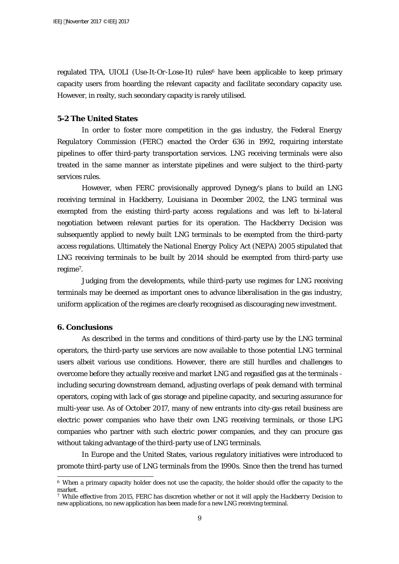regulated TPA, *UIOLI (Use-It-Or-Lose-It)* rules<sup>6</sup> have been applicable to keep primary capacity users from hoarding the relevant capacity and facilitate secondary capacity use. However, in realty, such secondary capacity is rarely utilised.

### **5-2 The United States**

In order to foster more competition in the gas industry, *the Federal Energy Regulatory Commission (FERC)* enacted *the Order 636* in 1992, requiring interstate pipelines to offer third-party transportation services. LNG receiving terminals were also treated in the same manner as interstate pipelines and were subject to the third-party services rules.

However, when FERC provisionally approved Dynegy's plans to build an LNG receiving terminal in Hackberry, Louisiana in December 2002, the LNG terminal was exempted from the existing third-party access regulations and was left to bi-lateral negotiation between relevant parties for its operation. *The Hackberry Decision* was subsequently applied to newly built LNG terminals to be exempted from the third-party access regulations. Ultimately *the National Energy Policy Act (NEPA) 2005* stipulated that LNG receiving terminals to be built by 2014 should be exempted from third-party use regime7.

Judging from the developments, while third-party use regimes for LNG receiving terminals may be deemed as important ones to advance liberalisation in the gas industry, uniform application of the regimes are clearly recognised as discouraging new investment.

# **6. Conclusions**

 $\overline{a}$ 

As described in the terms and conditions of third-party use by the LNG terminal operators, the third-party use services are now available to those potential LNG terminal users albeit various use conditions. However, there are still hurdles and challenges to overcome before they actually receive and market LNG and regasified gas at the terminals including securing downstream demand, adjusting overlaps of peak demand with terminal operators, coping with lack of gas storage and pipeline capacity, and securing assurance for multi-year use. As of October 2017, many of new entrants into city-gas retail business are electric power companies who have their own LNG receiving terminals, or those LPG companies who partner with such electric power companies, and they can procure gas without taking advantage of the third-party use of LNG terminals.

In Europe and the United States, various regulatory initiatives were introduced to promote third-party use of LNG terminals from the 1990s. Since then the trend has turned

<sup>6</sup> When a primary capacity holder does not use the capacity, the holder should offer the capacity to the market.

<sup>7</sup> While effective from 2015, FERC has discretion whether or not it will apply *the Hackberry Decision* to new applications, no new application has been made for a new LNG receiving terminal.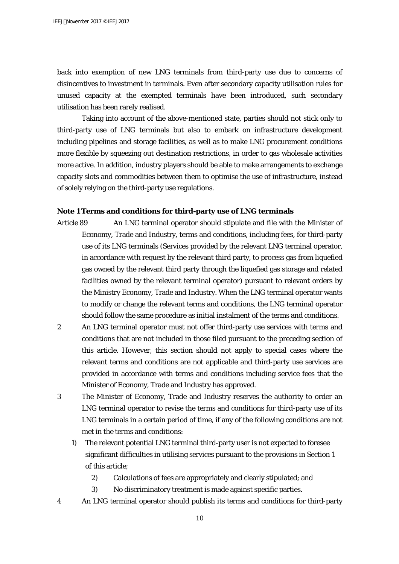back into exemption of new LNG terminals from third-party use due to concerns of disincentives to investment in terminals. Even after secondary capacity utilisation rules for unused capacity at the exempted terminals have been introduced, such secondary utilisation has been rarely realised.

Taking into account of the above-mentioned state, parties should not stick only to third-party use of LNG terminals but also to embark on infrastructure development including pipelines and storage facilities, as well as to make LNG procurement conditions more flexible by squeezing out destination restrictions, in order to gas wholesale activities more active. In addition, industry players should be able to make arrangements to exchange capacity slots and commodities between them to optimise the use of infrastructure, instead of solely relying on the third-party use regulations.

### **Note 1 Terms and conditions for third-party use of LNG terminals**

- Article 89 An LNG terminal operator should stipulate and file with the Minister of Economy, Trade and Industry, terms and conditions, including fees, for third-party use of its LNG terminals (Services provided by the relevant LNG terminal operator, in accordance with request by the relevant third party, to process gas from liquefied gas owned by the relevant third party through the liquefied gas storage and related facilities owned by the relevant terminal operator) pursuant to relevant orders by the Ministry Economy, Trade and Industry. When the LNG terminal operator wants to modify or change the relevant terms and conditions, the LNG terminal operator should follow the same procedure as initial instalment of the terms and conditions.
- 2 An LNG terminal operator must not offer third-party use services with terms and conditions that are not included in those filed pursuant to the preceding section of this article. However, this section should not apply to special cases where the relevant terms and conditions are not applicable and third-party use services are provided in accordance with terms and conditions including service fees that the Minister of Economy, Trade and Industry has approved.
- 3 The Minister of Economy, Trade and Industry reserves the authority to order an LNG terminal operator to revise the terms and conditions for third-party use of its LNG terminals in a certain period of time, if any of the following conditions are not met in the terms and conditions:
	- 1) The relevant potential LNG terminal third-party user is not expected to foresee significant difficulties in utilising services pursuant to the provisions in Section 1 of this article;
		- 2) Calculations of fees are appropriately and clearly stipulated; and
		- 3) No discriminatory treatment is made against specific parties.
- 4 An LNG terminal operator should publish its terms and conditions for third-party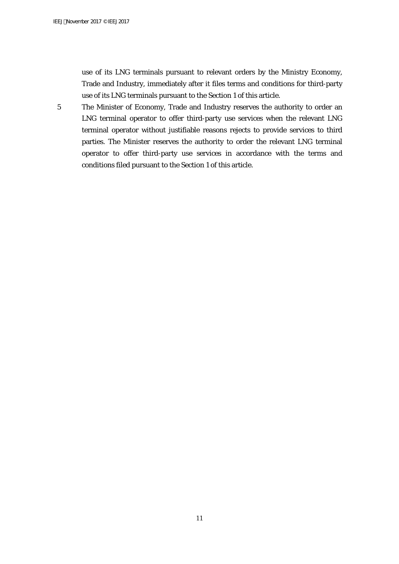use of its LNG terminals pursuant to relevant orders by the Ministry Economy, Trade and Industry, immediately after it files terms and conditions for third-party use of its LNG terminals pursuant to the Section 1 of this article.

5 The Minister of Economy, Trade and Industry reserves the authority to order an LNG terminal operator to offer third-party use services when the relevant LNG terminal operator without justifiable reasons rejects to provide services to third parties. The Minister reserves the authority to order the relevant LNG terminal operator to offer third-party use services in accordance with the terms and conditions filed pursuant to the Section 1 of this article.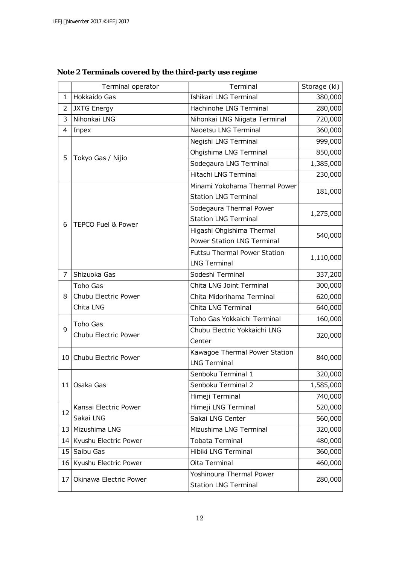|                 | Terminal operator                | Terminal                                                | Storage (kl) |  |
|-----------------|----------------------------------|---------------------------------------------------------|--------------|--|
| 1               | Hokkaido Gas                     | Ishikari LNG Terminal                                   | 380,000      |  |
| 2               | <b>JXTG Energy</b>               | Hachinohe LNG Terminal                                  | 280,000      |  |
| 3               | Nihonkai LNG                     | Nihonkai LNG Niigata Terminal                           | 720,000      |  |
| 4               | Inpex                            | Naoetsu LNG Terminal                                    | 360,000      |  |
| 5               | Tokyo Gas / Nijio                | Negishi LNG Terminal                                    | 999,000      |  |
|                 |                                  | Ohgishima LNG Terminal                                  | 850,000      |  |
|                 |                                  | Sodegaura LNG Terminal                                  | 1,385,000    |  |
|                 |                                  | Hitachi LNG Terminal                                    | 230,000      |  |
|                 | <b>TEPCO Fuel &amp; Power</b>    | Minami Yokohama Thermal Power                           | 181,000      |  |
|                 |                                  | <b>Station LNG Terminal</b>                             |              |  |
|                 |                                  | Sodegaura Thermal Power                                 | 1,275,000    |  |
|                 |                                  | <b>Station LNG Terminal</b>                             |              |  |
| 6               |                                  | Higashi Ohgishima Thermal                               | 540,000      |  |
|                 |                                  | <b>Power Station LNG Terminal</b>                       |              |  |
|                 |                                  | <b>Futtsu Thermal Power Station</b>                     |              |  |
|                 |                                  | <b>LNG Terminal</b>                                     | 1,110,000    |  |
| 7               | Shizuoka Gas                     | Sodeshi Terminal                                        | 337,200      |  |
| 8               | Toho Gas                         | Chita LNG Joint Terminal                                | 300,000      |  |
|                 | Chubu Electric Power             | Chita Midorihama Terminal                               | 620,000      |  |
|                 | Chita LNG                        | Chita LNG Terminal                                      | 640,000      |  |
|                 | Toho Gas<br>Chubu Electric Power | Toho Gas Yokkaichi Terminal                             | 160,000      |  |
| 9               |                                  | Chubu Electric Yokkaichi LNG                            | 320,000      |  |
|                 |                                  | Center                                                  |              |  |
|                 | 10 Chubu Electric Power          | Kawagoe Thermal Power Station                           |              |  |
|                 |                                  | <b>LNG Terminal</b>                                     | 840,000      |  |
|                 | 11 Osaka Gas                     | Senboku Terminal 1                                      | 320,000      |  |
|                 |                                  | Senboku Terminal 2                                      | 1,585,000    |  |
|                 |                                  | Himeji Terminal                                         | 740,000      |  |
| 12              | Kansai Electric Power            | Himeji LNG Terminal                                     | 520,000      |  |
|                 | Sakai LNG                        | Sakai LNG Center                                        | 560,000      |  |
|                 | 13 Mizushima LNG                 | Mizushima LNG Terminal                                  | 320,000      |  |
|                 | 14 Kyushu Electric Power         | Tobata Terminal                                         | 480,000      |  |
|                 | 15 Saibu Gas                     | Hibiki LNG Terminal                                     | 360,000      |  |
|                 | 16 Kyushu Electric Power         | Oita Terminal                                           | 460,000      |  |
| 17 <sup>1</sup> | Okinawa Electric Power           | Yoshinoura Thermal Power<br><b>Station LNG Terminal</b> | 280,000      |  |

**Note 2 Terminals covered by the third-party use regime**